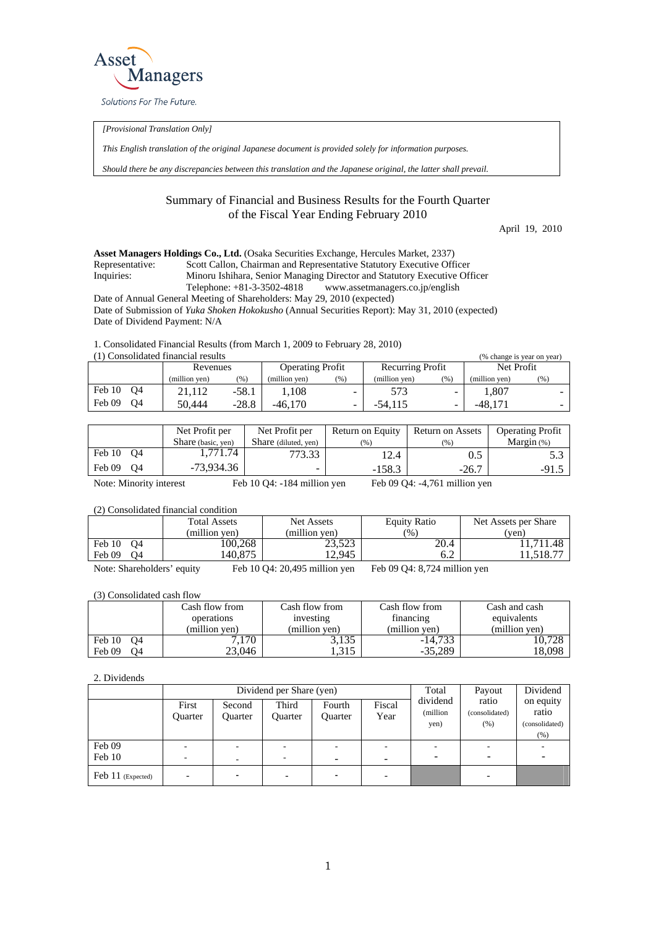

*[Provisional Translation Only]* 

*This English translation of the original Japanese document is provided solely for information purposes.* 

*Should there be any discrepancies between this translation and the Japanese original, the latter shall prevail.*

## Summary of Financial and Business Results for the Fourth Quarter of the Fiscal Year Ending February 2010

April 19, 2010

**Asset Managers Holdings Co., Ltd.** (Osaka Securities Exchange, Hercules Market, 2337) Representative: Scott Callon, Chairman and Representative Statutory Executive Officer Inquiries: Minoru Ishihara, Senior Managing Director and Statutory Executive Officer Telephone: +81-3-3502-4818 www.assetmanagers.co.jp/english Date of Annual General Meeting of Shareholders: May 29, 2010 (expected) Date of Submission of *Yuka Shoken Hokokusho* (Annual Securities Report): May 31, 2010 (expected)

Date of Dividend Payment: N/A

1. Consolidated Financial Results (from March 1, 2009 to February 28, 2010)  $(1)$  Consolidated financial results  $(0)$ 

| T) Consondated Imancial results<br>(% change is year on year) |               |         |                         |      |                         |      |               |    |  |
|---------------------------------------------------------------|---------------|---------|-------------------------|------|-------------------------|------|---------------|----|--|
|                                                               | Revenues      |         | <b>Operating Profit</b> |      | <b>Recurring Profit</b> |      | Net Profit    |    |  |
|                                                               | (million ven) | (%)     | (million ven)           | (96) | (million ven)           | (96) | (million ven) | (% |  |
| Feb 10<br>O4                                                  | 21.112        | $-58.1$ | . 108                   | -    | 573                     | -    | . 807         |    |  |
| Feb 09<br>O4                                                  | 50,444        | $-28.8$ | $-46.170$               | -    | $-54.115$               |      | $-48.171$     |    |  |

|              | Net Profit per<br>Share (basic, yen) | Net Profit per<br>Share (diluted, yen) | Return on Equity<br>(96) | Return on Assets<br>(% ) | <b>Operating Profit</b><br>Margin $(\%)$ |
|--------------|--------------------------------------|----------------------------------------|--------------------------|--------------------------|------------------------------------------|
| Feb 10 04    | 1.771.74                             | 773.33                                 | 12.4                     | 0.5                      |                                          |
| Feb 09<br>O4 | -73.934.36                           |                                        | $-158.3$                 | $-26.7$                  | -91.                                     |

Note: Minority interest Feb 10 Q4: -184 million yen Feb 09 Q4: -4,761 million yen

(2) Consolidated financial condition

|                            | <b>Total Assets</b> | Net Assets                        | Equity Ratio                   | Net Assets per Share |
|----------------------------|---------------------|-----------------------------------|--------------------------------|----------------------|
|                            | (million yen)       | (million yen)                     | (%)                            | (ven)                |
| Feb 10 04                  | 100,268             | 23,523                            | 20.4                           | 11.711.48            |
| Feb 09<br>O4               | 140.875             | 12.945                            | 6.2                            | 11,518.7             |
| Note: Shareholders' equity |                     | Feb $10\,04$ : 20,495 million yen | Feb $09$ Q4: 8,724 million yen |                      |

(3) Consolidated cash flow

|              | Cash flow from<br>operations |               | Cash flow from | Cash and cash<br>equivalents |  |
|--------------|------------------------------|---------------|----------------|------------------------------|--|
|              |                              | investing     | financing      |                              |  |
|              | (million ven)                | (million ven) | (million yen)  | (million yen)                |  |
| Feb 10<br>O4 | 7.170                        | 3,135         | $-14.733$      | 0.728                        |  |
| Feb 09<br>O4 | 23,046                       | .315          | $-35.289$      | 8,098                        |  |

2. Dividends

|                   |                  |                          | Dividend per Share (yen) | Total                    | Payout         | Dividend                     |                                |                                              |  |
|-------------------|------------------|--------------------------|--------------------------|--------------------------|----------------|------------------------------|--------------------------------|----------------------------------------------|--|
|                   | First<br>Ouarter | Second<br><b>Ouarter</b> | Third<br><b>Ouarter</b>  | Fourth<br>Ouarter        | Fiscal<br>Year | dividend<br>(million<br>yen) | ratio<br>(consolidated)<br>(%) | on equity<br>ratio<br>(consolidated)<br>(% ) |  |
| Feb 09            |                  |                          |                          |                          | -              |                              |                                |                                              |  |
| Feb 10            |                  | -                        | $\overline{\phantom{a}}$ | ۰                        | -              |                              |                                |                                              |  |
| Feb 11 (Expected) |                  |                          |                          | $\overline{\phantom{0}}$ |                |                              |                                |                                              |  |